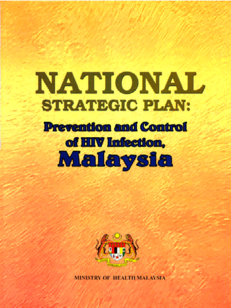# **NATIONAL STRATEGIC PLAN:**

## **Prevention and Control** of HIV Infection. Malaysia



**MINISTRY OF HEALTH MALAYSIA**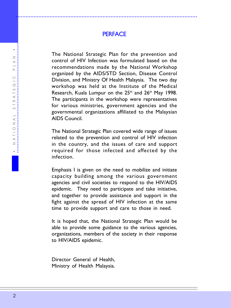**PERFACE** 

.................................................................................................................

The National Strategic Plan for the prevention and control of HIV Infection was formulated based on the recommendations made by the National Workshop organized by the AIDS/STD Section, Disease Control Division, and Ministry Of Health Malaysia. The two day workshop was held at the Institute of the Medical Research, Kuala Lumpur on the 25<sup>th</sup> and 26<sup>th</sup> May 1998. The participants in the workshop were representatives for various ministries, government agencies and the governmental organizations affiliated to the Malaysian AIDS Council.

The National Strategic Plan covered wide range of issues related to the prevention and control of HIV infection in the country, and the issues of care and support required for those infected and affected by the infection.

Emphasis I is given on the need to mobilize and initiate capacity building among the various government agencies and civil societies to respond to the HIV/AIDS epidemic. They need to participate and take initiative, and together to provide assistance and support in the fight against the spread of HIV infection at the same time to provide support and care to those in need.

It is hoped that, the National Strategic Plan would be able to provide some guidance to the various agencies, organizations, members of the society in their response to HIV/AIDS epidemic.

Director General of Health, Ministry of Health Malaysia.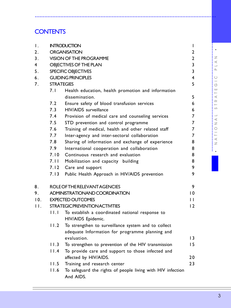## **[CONTENTS](#page-12-0)**

|                                       | <b>CONTENTS</b>                                                                           |                                                                                                                                                                                                                                                                                                                                                                                                                                                                                                                                                                                                                                                                                                                                                                              |                                                                                                               |                                                                                                                                                 |
|---------------------------------------|-------------------------------------------------------------------------------------------|------------------------------------------------------------------------------------------------------------------------------------------------------------------------------------------------------------------------------------------------------------------------------------------------------------------------------------------------------------------------------------------------------------------------------------------------------------------------------------------------------------------------------------------------------------------------------------------------------------------------------------------------------------------------------------------------------------------------------------------------------------------------------|---------------------------------------------------------------------------------------------------------------|-------------------------------------------------------------------------------------------------------------------------------------------------|
| Ι.<br>2.<br>3.<br>4<br>5.<br>6.<br>7. | <b>STRATEGIES</b><br>7. I<br>7.2<br>7.3<br>7.4<br>7.5<br>7.6<br>7.7<br>7.8<br>7.9<br>7.10 | <b>INTRODUCTION</b><br><b>ORGANISATION</b><br>VISION OF THE PROGRAMME<br>OBJECTIVES OF THE PLAN<br>SPECIFIC OBJECTIVES<br><b>GUIDING PRINCIPLES</b><br>Health education, health promotion and information<br>dissemination.<br>Ensure safety of blood transfusion services<br>HIV/AIDS surveillance<br>Provision of medical care and counseling services<br>STD prevention and control programme<br>Training of medical, health and other related staff<br>Inter-agency and inter-sectoral collaboration<br>Sharing of information and exchange of experience<br>International cooperation and collaboration<br>Continuous research and evaluation<br>7.11 Mobilization and capacity building<br>7.12 Care and support<br>7.13 Public Health Approach in HIV/AIDS prevention | T<br>2<br>$\overline{2}$<br>3<br>3<br>4<br>5<br>5<br>6<br>6<br>7<br>7<br>7<br>7<br>8<br>8<br>8<br>8<br>9<br>9 | Ζ<br>$\prec$<br>$\circlearrowright$<br>(5)<br><b>LLI</b><br>$\prec$<br>$\simeq$<br>S<br>$\prec$<br>$\geq$<br>О<br>$\vdash$<br>$\prec$<br>$\geq$ |
| 8.<br>9.<br>10.<br>Н.                 | H.L<br>11.2<br>11.3<br>11.4<br>11.5<br>11.6                                               | ROLE OF THE RELEVANT AGENCIES<br>ADMINISTRATIONAND COORDINATION<br><b>EXPECTED OUTCOMES</b><br><b>STRATEGIC PREVENTION ACTIVITIES</b><br>To establish a coordinated national response to<br>HIV/AIDS Epidemic.<br>To strengthen to surveillance system and to collect<br>adequate Information for programme planning and<br>evaluation.<br>To strengthen to prevention of the HIV transmission<br>To provide care and support to those infected and<br>affected by HIV/AIDS.<br>Training and research center<br>To safeguard the rights of people living with HIV infection<br>And AIDS.                                                                                                                                                                                     | 9<br>10<br>$\mathsf{L}$<br>12<br>13<br>15<br>20<br>23                                                         |                                                                                                                                                 |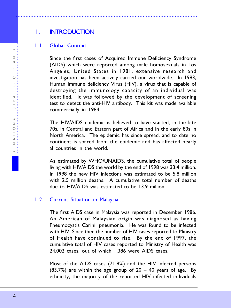## 1. INTRODUCTION

### 1.1 Global Context:

Since the first cases of Acquired Immune Deficiency Syndrome (AIDS) which were reported among male homosexuals in Los Angeles, United States in 1981, extensive research and investigation has been actively carried our worldwide. In 1983, Human Immune deficiency Virus (HIV), a virus that is capable of destroying the immunology capacity of an individual was identified. It was followed by the development of screening test to detect the anti-HIV antibody. This kit was made available commercially in 1984.

.................................................................................................................

The HIV/AIDS epidemic is believed to have started, in the late 70s, in Central and Eastern part of Africa and in the early 80s in North America. The epidemic has since spread, and to date no continent is spared from the epidemic and has affected nearly al countries in the world.

As estimated by WHO/UNAIDS, the cumulative total of people living with HIV/AIDS the world by the end of 1998 was 33.4 million. In 1998 the new HIV infections was estimated to be 5.8 million with 2.5 million deaths. A cumulative total number of deaths due to HIV/AIDS was estimated to be 13.9 million.

#### 1.2 Current Situation in Malaysia

The first AIDS case in Malaysia was reported in December 1986. An American of Malaysian origin was diagnosed as having Pneumocystis Carinii pneumonia. He was found to be infected with HIV. Since then the number of HIV cases reported to Ministry of Health have continued to rise. By the end of 1997, the cumulative total of HIV cases reported to Ministry of Health was 24,002 cases, out of which 1,386 were AIDS cases.

Most of the AIDS cases (71.8%) and the HIV infected persons (83.7%) are within the age group of 20 – 40 years of age. By ethnicity, the majority of the reported HIV infected individuals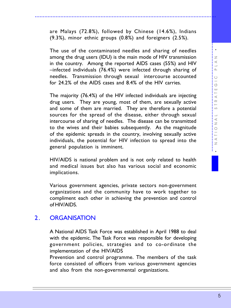are Malays (72.8%), followed by Chinese (14.6%), Indians (9.3%), minor ethnic groups (0.8%) and foreigners (2.5%).

.................................................................................................................

The use of the contaminated needles and sharing of needles among the drug users (IDU) is the main mode of HIV transmission in the country. Among the reported AIDS cases (55%) and HIV –infected individuals (76.4%) were infected through sharing of needles. Transmission through sexual intercourse accounted for 24.2% of the AIDS cases and 8.4% of the HIV carries.

The majority (76.4%) of the HIV infected individuals are injecting drug users. They are young, most of them, are sexually active and some of them are married. They are therefore a potential sources for the spread of the disease, either through sexual intercourse of sharing of needles. The disease can be transmitted to the wives and their babies subsequently. As the magnitude of the epidemic spreads in the country, involving sexually active individuals, the potential for HIV infection to spread into the general population is imminent.

HIV/AIDS is national problem and is not only related to health and medical issues but also has various social and economic implications.

Various government agencies, private sectors non-government organizations and the community have to work together to compliment each other in achieving the prevention and control of HIV/AIDS.

## 2. ORGANISATION

A National AIDS Task Force was established in April 1988 to deal with the epidemic. The Task Force was responsible for developing government policies, strategies and to co-ordinate the implementation of the HIV/AIDS

Prevention and control programme. The members of the task force consisted of officers from various government agencies and also from the non-governmental organizations.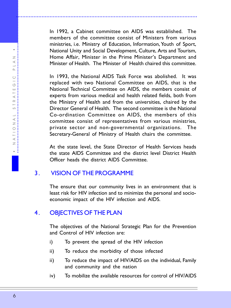In 1992, a Cabinet committee on AIDS was established. The members of the committee consist of Ministers from various ministries, i.e. Ministry of Education, Information, Youth of Sport, National Unity and Social Development, Culture, Arts and Tourism, Home Affair, Minister in the Prime Minister's Department and Minister of Health. The Minister of Health chaired this committee.

.................................................................................................................

In 1993, the National AIDS Task Force was abolished. It was replaced with two National Committee on AIDS, that is the National Technical Committee on AIDS, the members consist of experts from various medical and health related fields, both from the Ministry of Health and from the universities, chaired by the Director General of Health. The second committee is the National Co-ordination Committee on AIDS, the members of this committee consist of representatives from various ministries, private sector and non-governmental organizations. The Secretary-General of Ministry of Health chairs the committee.

At the state level, the State Director of Health Services heads the state AIDS Committee and the district level District Health Officer heads the district AIDS Committee.

## 3. VISION OF THE PROGRAMME

The ensure that our community lives in an environment that is least risk for HIV infection and to minimize the personal and socioeconomic impact of the HIV infection and AIDS.

## 4. OBJECTIVES OF THE PLAN

The objectives of the National Strategic Plan for the Prevention and Control of HIV infection are:

- i) To prevent the spread of the HIV infection
- ii) To reduce the morbidity of those infected
- ii) To reduce the impact of HIV/AIDS on the individual, Family and community and the nation
- iv) To mobilize the available resources for control of HIV/AIDS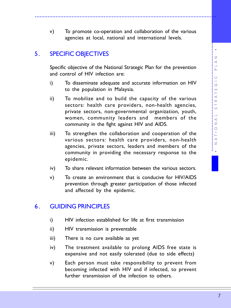## 5. SPECIFIC OBJECTIVES

Specific objective of the National Strategic Plan for the prevention and control of HIV infection are:

- i) To disseminate adequate and accurate information on HIV to the population in Malaysia.
- ii) To mobilize and to build the capacity of the various sectors: health care providers, non-health agencies, private sectors, non-governmental organization, youth, women, community leaders and members of the community in the fight against HIV and AIDS.
- iii) To strengthen the collaboration and cooperation of the various sectors: health care providers, non-health agencies, private sectors, leaders and members of the community in providing the necessary response to the epidemic.
- iv) To share relevant information between the various sectors.
- v) To create an environment that is conducive for HIV/AIDS prevention through greater participation of those infected and affected by the epidemic.

## 6. GUIDING PRINCIPLES

- i) HIV infection established for life at first transmission
- ii) HIV transmission is preventable
- iii) There is no cure available as yet
- iv) The treatment available to prolong AIDS free state is expensive and not easily tolerated (due to side effects)
- v) Each person must take responsibility to prevent from becoming infected with HIV and if infected, to prevent further transmission of the infection to others.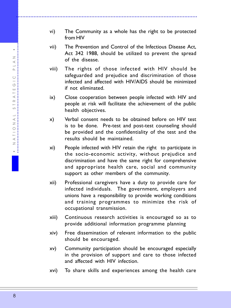vi) The Community as a whole has the right to be protected from HIV

.................................................................................................................

- vii) The Prevention and Control of the Infectious Disease Act, Act 342 1988, should be utilized to prevent the spread of the disease.
- viii) The rights of those infected with HIV should be safeguarded and prejudice and discrimination of those infected and affected with HIV/AIDS should be minimized if not eliminated.
- ix) Close cooperation between people infected with HIV and people at risk will facilitate the achievement of the public health objectives.
- x) Verbal consent needs to be obtained before on HIV test is to be done. Pre-test and post-test counseling should be provided and the confidentiality of the test and the results should be maintained.
- xi) People infected with HIV retain the right to participate in the socio-economic activity, without prejudice and discrimination and have the same right for comprehensive and appropriate health care, social and community support as other members of the community.
- xii) Professional caregivers have a duty to provide care for infected individuals. The government, employers and unions have a responsibility to provide working conditions and training programmes to minimize the risk of occupational transmission.
- xiii) Continuous research activities is encouraged so as to provide additional information programme planning
- xiv) Free dissemination of relevant information to the public should be encouraged.
- xv) Community participation should be encouraged especially in the provision of support and care to those infected and affected with HIV infection.
- xvi) To share skills and experiences among the health care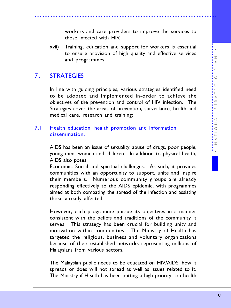workers and care providers to improve the services to those infected with HIV.

xvii) Training, education and support for workers is essential to ensure provision of high quality and effective services and programmes.

.................................................................................................................

## 7. STRATEGIES

In line with guiding principles, various strategies identified need to be adopted and implemented in-order to achieve the objectives of the prevention and control of HIV infection. The Strategies cover the areas of prevention, surveillance, health and medical care, research and training:

#### 7.1 Health education, health promotion and information dissemination.

AIDS has been an issue of sexuality, abuse of drugs, poor people, young men, women and children. In addition to physical health, AIDS also poses

Economic. Social and spiritual challenges. As such, it provides communities with an opportunity to support, unite and inspire their members. Numerous community groups are already responding effectively to the AIDS epidemic, with programmes aimed at both combating the spread of the infection and assisting those already affected.

However, each programme pursue its objectives in a manner consistent with the beliefs and traditions of the community it serves. This strategy has been crucial for building unity and motivation within communities. The Ministry of Health has targeted the religious, business and voluntary organizations because of their established networks representing millions of Malaysians from various sectors.

The Malaysian public needs to be educated on HIV/AIDS, how it spreads or does will not spread as well as issues related to it. The Ministry if Health has been putting a high priority on health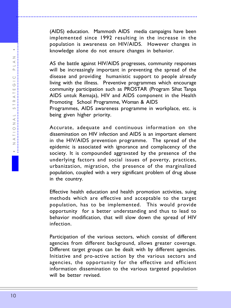(AIDS) education. Mammoth AIDS media campaigns have been implemented since 1992 resulting in the increase in the population is awareness on HIV/AIDS. However changes in knowledge alone do not ensure changes in behavior.

.................................................................................................................

AS the battle against HIV/AIDS progresses, community responses will be increasingly important in preventing the spread of the disease and providing humanistic support to people already living with the illness. Preventive programmes which encourage community participation such as PROSTAR (Program Sihat Tanpa AIDS untuk Remaja), HIV and AIDS component in the Health Promoting School Programme, Woman & AIDS

Programmes, AIDS awareness programme in workplace, etc. is being given higher priority.

Accurate, adequate and continuous information on the dissemination on HIV infection and AIDS is an important element in the HIV/AIDS prevention programme. The spread of the epidemic is associated with ignorance and complacency of the society. It is compounded aggravated by the presence of the underlying factors and social issues of poverty, practices, urbanization, migration, the presence of the marginalized population, coupled with a very significant problem of drug abuse in the country.

Effective health education and health promotion activities, suing methods which are effective and acceptable to the target population, has to be implemented. This would provide opportunity for a better understanding and thus to lead to behavior modification, that will slow down the spread of HIV infection.

Participation of the various sectors, which consist of different agencies from different background, allows greater coverage. Different target groups can be dealt with by different agencies. Initiative and pro-active action by the various sectors and agencies, the opportunity for the effective and efficient information dissemination to the various targeted population will be better revised.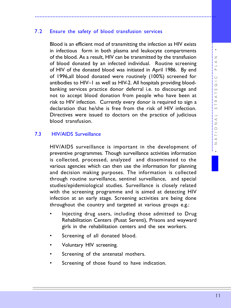#### 7.2 Ensure the safety of blood transfusion services

Blood is an efficient mod of transmitting the infection as HIV exists in infectious form in both plasma and leukocyte compartments of the blood. As a result, HIV can be transmitted by the transfusion of blood donated by an infected individual. Routine screening of HIV of the donated blood was initiated in April 1986. By end of 1996,all blood donated were routinely (100%) screened for antibodies to HIV–1 as well as HIV-2. All hospitals providing bloodbanking services practice donor deferral i.e. to discourage and not to accept blood donation from people who have been at risk to HIV infection. Currently every donor is required to sign a declaration that he/she is free from the risk of HIV infection. Directives were issued to doctors on the practice of judicious blood transfusion.

.................................................................................................................

#### 7.3 HIV/AIDS Surveillance

HIV/AIDS surveillance is important in the development of preventive programmes. Though surveillance activities information is collected, processed, analyzed and disseminated to the various agencies which can then use the information for planning and decision making purposes. The information is collected through routine surveillance, sentinel surveillance, and special studies/epidemiological studies. Surveillance is closely related with the screening programme and is aimed at detecting HIV infection at an early stage. Screening activities are being done throughout the country and targeted at various groups e.g.:

- Injecting drug users, including those admitted to Drug Rehabilitation Centers (Pusat Serenti), Prisons and wayward girls in the rehabilitation centers and the sex workers.
- Screening of all donated blood.
- Voluntary HIV screening.
- Screening of the antenatal mothers.
- Screening of those found to have indication.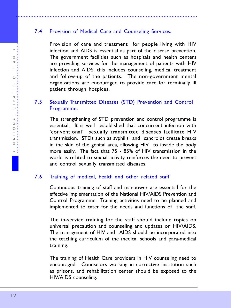## 7.4 Provision of Medical Care and Counseling Services.

<span id="page-11-0"></span>.................................................................................................................

Provision of care and treatment for people living with HIV infection and AIDS is essential as part of the disease prevention. The government facilities such as hospitals and health centers are providing services for the management of patients with HIV infection and AIDS, this includes counseling, medical treatment and follow-up of the patients. The non-government mental organizations are encouraged to provide care for terminally ill patient through hospices.

## 7.5 Sexually Transmitted Diseases (STD) Prevention and Control Programme.

The strengthening of STD prevention and control programme is essential. It is well established that concurrent infection with 'conventional' sexually transmitted diseases facilitate HIV transmission. STDs such as syphilis and cancroids create breaks in the skin of the genital area, allowing HIV to invade the body more easily. The fact that 75 - 85% of HIV transmission in the world is related to sexual activity reinforces the need to prevent and control sexually transmitted diseases.

#### 7.6 Training of medical, health and other related staff

Continuous training of staff and manpower are essential for the effective implementation of the National HIV/AIDS Prevention and Control Programme. Training activities need to be planned and implemented to cater for the needs and functions of the staff.

The in-service training for the staff should include topics on universal precaution and counseling and updates on HIV/AIDS. The management of HIV and AIDS should be incorporated into the teaching curriculum of the medical schools and para-medical training.

The training of Health Care providers in HIV counseling need to encouraged. Counselors working in corrective institution such as prisons, and rehabilitation center should be exposed to the HIV/AIDS counseling.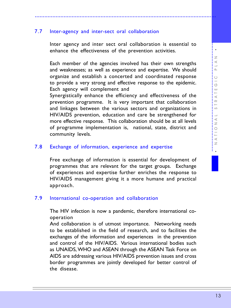#### 7.7 Inter-agency and inter-sect oral collaboration

Inter agency and inter sect oral collaboration is essential to enhance the effectiveness of the prevention activities.

<span id="page-12-0"></span>.................................................................................................................

Each member of the agencies involved has their own strengths and weaknesses; as well as experience and expertise. We should organize and establish a concerted and coordinated response to provide a very strong and effective response to the epidemic. Each agency will complement and

Synergistically enhance the efficiency and effectiveness of the prevention programme. It is very important that collaboration and linkages between the various sectors and organizations in HIV/AIDS prevention, education and care be strengthened for more effective response. This collaboration should be at all levels of programme implementation is, national, state, district and community levels.

#### 7.8 Exchange of information, experience and expertise

Free exchange of information is essential for development of programmes that are relevant for the target groups. Exchange of experiences and expertise further enriches the response to HIV/AIDS management giving it a more humane and practical approach.

#### 7.9 International co-operation and collaboration

The HIV infection is now a pandemic, therefore international cooperation

And collaboration is of utmost importance. Networking needs to be established in the field of research, and to facilities the exchanges of the information and experiences in the prevention and control of the HIV/AIDS. Various international bodies such as UNAIDS, WHO and ASEAN through the ASEAN Task Force on AIDS are addressing various HIV/AIDS prevention issues and cross border programmes are jointly developed for better control of the disease.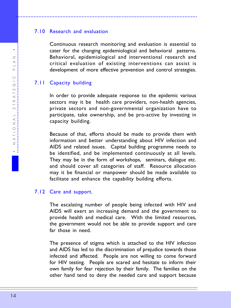## 7.10 Research and evaluation

Continuous research monitoring and evaluation is essential to cater for the changing epidemiological and behavioral patterns. Behavioral, epidemiological and interventional research and critical evaluation of existing interventions can assist is development of more effective prevention and control strategies.

<span id="page-13-0"></span>.................................................................................................................

## 7.11 Capacity building

In order to provide adequate response to the epidemic various sectors may it be health care providers, non-health agencies, private sectors and non-governmental organization have to participate, take ownership, and be pro-active by investing in capacity building.

Because of that, efforts should be made to provide them with information and better understanding about HIV infection and AIDS and related issues. Capital building programme needs to be identified, and be implemented continuously at all levels. They may be in the form of workshops, seminars, dialogue etc. and should cover all categories of staff. Resource allocation may it be financial or manpower should be made available to facilitate and enhance the capability building efforts.

#### 7.12 Care and support.

The escalating number of people being infected with HIV and AIDS will exert an increasing demand and the government to provide health and medical care. With the limited resources, the government would not be able to provide support and care far those in need.

The presence of stigma which is attached to the HIV infection and AIDS has led to the discrimination of prejudice towards those infected and affected. People are not willing to come forward for HIV testing. People are scared and hesitate to inform their own family for fear rejection by their family. The families on the other hand tend to deny the needed care and support because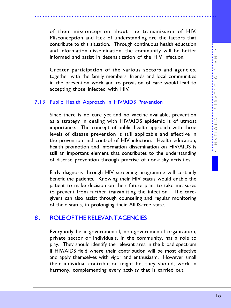of their misconception about the transmission of HIV. Misconception and lack of understanding are the factors that contribute to this situation. Through continuous health education and information dissemination, the community will be better informed and assist in desensitization of the HIV infection.

<span id="page-14-0"></span>.................................................................................................................

Greater participation of the various sectors and agencies, together with the family members, friends and local communities in the prevention work and to provision of care would lead to accepting those infected with HIV.

#### 7.13 Public Health Approach in HIV/AIDS Prevention

Since there is no cure yet and no vaccine available, prevention as a strategy in dealing with HIV/AIDS epidemic is of utmost importance. The concept of public health approach with three levels of disease prevention is still applicable and effective in the prevention and control of HIV infection. Health education, health promotion and information dissemination on HIV/AIDS is still an important element that contributes to the understanding of disease prevention through practise of non-risky activities.

Early diagnosis through HIV screening programme will certainly benefit the patients. Knowing their HIV status would enable the patient to make decision on their future plan, to take measures to prevent from further transmitting the infection. The caregivers can also assist through counseling and regular monitoring of their status, in prolonging their AIDS-free state.

## 8. ROLE OF THE RELEVANT AGENCIES

Everybody be it governmental, non-governmental organization, private sector or individuals, in the community, has a role to play. They should identify the relevant area in the broad spectrum if HIV/AIDS field where their contribution will be most effective and apply themselves with vigor and enthusiasm. However small their individual contribution might be, they should, work in harmony, complementing every activity that is carried out.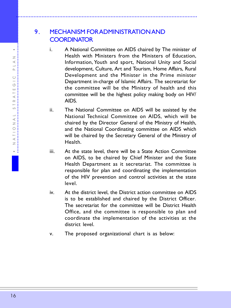## 9. MECHANISM FOR ADMINISTRATION AND **COORDINATOR**

<span id="page-15-0"></span>.................................................................................................................

- i. A National Committee on AIDS chaired by The minister of Health with Ministers from the Ministers of Education, Information, Youth and sport, National Unity and Social development, Culture, Art and Tourism, Home Affairs, Rural Development and the Minister in the Prime minister Department in-charge of Islamic Affairs. The secretariat for the committee will be the Ministry of health and this committee will be the highest policy making body on HIV/ AIDS.
- ii. The National Committee on AIDS will be assisted by the National Technical Committee on AIDS, which will be chaired by the Director General of the Ministry of Health, and the National Coordinating committee on AIDS which will be chaired by the Secretary General of the Ministry of Health.
- iii. At the state level, there will be a State Action Committee on AIDS, to be chaired by Chief Minister and the State Health Department as it secretariat. The committee is responsible for plan and coordinating the implementation of the HIV prevention and control activities at the state level.
- iv. At the district level, the District action committee on AIDS is to be established and chaired by the District Officer. The secretariat for the committee will be District Health Office, and the committee is responsible to plan and coordinate the implementation of the activities at the district level.
- v. The proposed organizational chart is as below: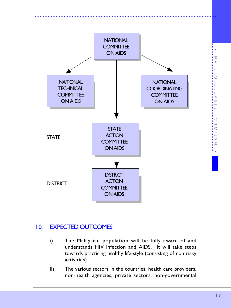<span id="page-16-0"></span>

## 10. EXPECTED OUTCOMES

- i) The Malaysian population will be fully aware of and understands HIV infection and AIDS. It will take steps towards practicing healthy life-style (consisting of non risky activities)
- ii) The various sectors in the countries: health care providers, non-health agencies, private sectors, non-governmental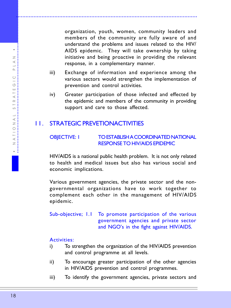organization, youth, women, community leaders and members of the community are fully aware of and understand the problems and issues related to the HIV/ AIDS epidemic. They will take ownership by taking initiative and being proactive in providing the relevant response, in a complementary manner.

iii) Exchange of information and experience among the various sectors would strengthen the implementation of prevention and control activities.

<span id="page-17-0"></span>.................................................................................................................

iv) Greater participation of those infected and effected by the epidemic and members of the community in providing support and care to those affected.

## 11. STRATEGIC PREVETIONACTIVITIES

#### OBJECTIVE: 1 TO ESTABLISH A COORDINATED NATIONAL RESPONSE TO HIV/AIDS EPIDEMIC

HIV/AIDS is a national public health problem. It is not only related to health and medical issues but also has various social and economic implications.

Various government agencies, the private sector and the nongovernmental organizations have to work together to complement each other in the management of HIV/AIDS epidemic.

Sub-objective; 1.1 To promote participation of the various government agencies and private sector and NGO's in the fight against HIV/AIDS.

- i) To strengthen the organization of the HIV/AIDS prevention and control programme at all levels.
- ii) To encourage greater participation of the other agencies in HIV/AIDS prevention and control programmes.
- iii) To identify the government agencies, private sectors and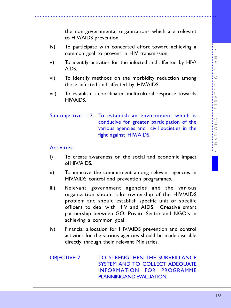<span id="page-18-0"></span>iv) To participate with concerted effort toward achieving a common goal to prevent in HIV transmission.

to HIV/AIDS prevention.

- v) To identify activities for the infected and affected by HIV/ AIDS.
- vi) To identify methods on the morbidity reduction among those infected and affected by HIV/AIDS.
- vii) To establish a coordinated multicultural response towards HIV/AIDS.

Sub-objective: 1.2 To establish an environment which is conducive for greater participation of the various agencies and civil societies in the fight against HIV/AIDS.

#### Activities:

- i) To create awareness on the social and economic impact of HIV/AIDS.
- ii) To improve the commitment among relevant agencies in HIV/AIDS control and prevention programmes.
- iii) Relevant government agencies and the various organization should take ownership of the HIV/AIDS problem and should establish specific unit or specific officers to deal with HIV and AIDS. Creative smart partnership between GO, Private Sector and NGO's in achieving a common goal.
- iv) Financial allocation for HIV/AIDS prevention and control activities for the various agencies should be made available directly through their relevant Ministries.

OBJECTIVE: 2 TO STRENGTHEN THE SURVEILLANCE SYSTEM AND TO COLLECT ADEQUATE INFORMATION FOR PROGRAMME PLANNING AND EVALUATION.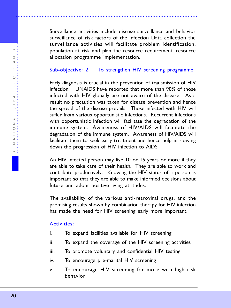Surveillance activities include disease surveillance and behavior surveillance of risk factors of the infection Data collection the surveillance activities will facilitate problem identification, population at risk and plan the resource requirement, resource allocation programme implementation.

.................................................................................................................

#### Sub-objective: 2.1 To strengthen HIV screening programme

Early diagnosis is crucial in the prevention of transmission of HIV infection. UNAIDS have reported that more than 90% of those infected with HIV globally are not aware of the disease. As a result no precaution was taken for disease prevention and hence the spread of the disease prevails. Those infected with HIV will suffer from various opportunistic infections. Recurrent infections with opportunistic infection will facilitate the degradation of the immune system. Awareness of HIV/AIDS will facilitate the degradation of the immune system. Awareness of HIV/AIDS will facilitate them to seek early treatment and hence help in slowing down the progression of HIV infection to AIDS.

An HIV infected person may live 10 or 15 years or more if they are able to take care of their health. They are able to work and contribute productively. Knowing the HIV status of a person is important so that they are able to make informed decisions about future and adopt positive living attitudes.

The availability of the various anti-retroviral drugs, and the promising results shown by combination therapy for HIV infection has made the need for HIV screening early more important.

- i. To expand facilities available for HIV screening
- ii. To expand the coverage of the HIV screening activities
- iii. To promote voluntary and confidential HIV testing
- iv. To encourage pre-marital HIV screening
- v. To encourage HIV screening for more with high risk behavior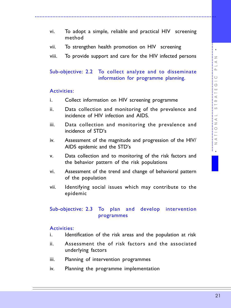vi. To adopt a simple, reliable and practical HIV screening method

.................................................................................................................

- vii. To strengthen health promotion on HIV screening
- viii. To provide support and care for the HIV infected persons

#### Sub-objective: 2.2 To collect analyze and to disseminate information for programme planning.

#### Activities:

- i. Collect information on HIV screening programme
- ii. Data collection and monitoring of the prevalence and incidence of HIV infection and AIDS.
- iii. Data collection and monitoring the prevalence and incidence of STD's
- iv. Assessment of the magnitude and progression of the HIV/ AIDS epidemic and the STD's
- v. Data collection and to monitoring of the risk factors and the behavior pattern of the risk populations
- vi. Assessment of the trend and change of behavioral pattern of the population
- vii. Identifying social issues which may contribute to the epidemic

#### Sub-objective: 2.3 To plan and develop intervention programmes

- i. Identification of the risk areas and the population at risk
- ii. Assessment the of risk factors and the associated underlying factors
- iii. Planning of intervention programmes
- iv. Planning the programme implementation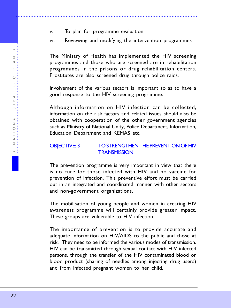v. To plan for programme evaluation

<span id="page-21-0"></span>.................................................................................................................

vi. Reviewing and modifying the intervention programmes

The Ministry of Health has implemented the HIV screening programmes and those who are screened are in rehabilitation programmes in the prisons or drug rehabilitation centers. Prostitutes are also screened drug through police raids.

Involvement of the various sectors is important so as to have a good response to the HIV screening programme.

Although information on HIV infection can be collected, information on the risk factors and related issues should also be obtained with cooperation of the other government agencies such as Ministry of National Unity, Police Department, Information, Education Department and KEMAS etc.

#### OBJECTIVE: 3 TO STRENGTHEN THE PREVENTION OF HIV **TRANSMISSION**

The prevention programme is very important in view that there is no cure for those infected with HIV and no vaccine for prevention of infection. This preventive effort must be carried out in an integrated and coordinated manner with other sectors and non-government organizations.

The mobilisation of young people and women in creating HIV awareness programme will certainly provide greater impact. These groups are vulnerable to HIV infection.

The importance of prevention is to provide accurate and adequate information on HIV/AIDS to the public and those at risk. They need to be informed the various modes of transmission. HIV can be transmitted through sexual contact with HIV infected persons, through the transfer of the HIV contaminated blood or blood product (sharing of needles among injecting drug users) and from infected pregnant women to her child.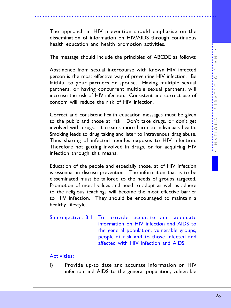The approach in HIV prevention should emphasise on the dissemination of information on HIV/AIDS through continuous health education and health promotion activities.

.................................................................................................................

The message should include the principles of ABCDE as follows:

Abstinence from sexual intercourse with known HIV infected person is the most effective way of preventing HIV infection. Be faithful to your partners or spouse. Having multiple sexual partners, or having concurrent multiple sexual partners, will increase the risk of HIV infection. Consistent and correct use of condom will reduce the risk of HIV infection.

Correct and consistent health education messages must be given to the public and those at risk. Don't take drugs, or don't get involved with drugs. It creates more harm to individuals health. Smoking leads to drug taking and later to intravenous drag abuse. Thus sharing of infected needles exposes to HIV infection. Therefore not getting involved in drugs, or for acquiring HIV infection through this means.

Education of the people and especially those, at of HIV infection is essential in disease prevention. The information that is to be disseminated must be tailored to the needs of groups targeted. Promotion of moral values and need to adopt as well as adhere to the religious teachings will become the most effective barrier to HIV infection. They should be encouraged to maintain a healthy lifestyle.

Sub-objective: 3.1 To provide accurate and adequate information on HIV infection and AIDS to the general population, vulnerable groups, people at risk and to those infected and affected with HIV infection and AIDS.

#### Activities:

i) Provide up-to date and accurate information on HIV infection and AIDS to the general population, vulnerable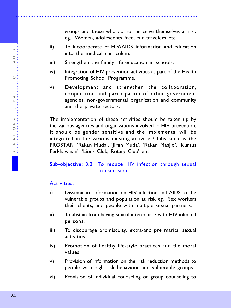- ii) To incoorperate of HIV/AIDS information and education into the medical curriculum.
- iii) Strengthen the family life education in schools.

- iv) Integration of HIV prevention activities as part of the Health Promoting School Programme.
- v) Development and strengthen the collaboration, cooperation and participation of other government agencies, non-governmental organization and community and the private sectors.

The implementation of these activities should be taken up by the various agencies and organizations involved in HIV prevention. It should be gender sensitive and the implemental will be integrated in the various existing activities/clubs such as the PROSTAR, 'Rakan Muda', 'Jiran Muda', 'Rakan Masjid', 'Kursus Perkhawinan', 'Lions Club, Rotary Club' etc.

## Sub-objective: 3.2 To reduce HIV infection through sexual transmission

- i) Disseminate information on HIV infection and AIDS to the vulnerable groups and population at risk eg. Sex workers their clients, and people with multiple sexual partners.
- ii) To abstain from having sexual intercourse with HIV infected persons.
- iii) To discourage promiscuity, extra-and pre marital sexual activities.
- iv) Promotion of healthy life-style practices and the moral values.
- v) Provision of information on the risk reduction methods to people with high risk behaviour and vulnerable groups.
- vi) Provision of individual counseling or group counseling to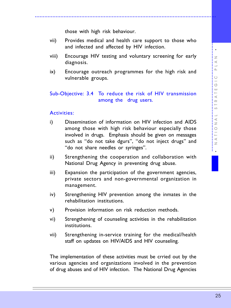those with high risk behaviour.

vii) Provides medical and health care support to those who and infected and affected by HIV infection.

.................................................................................................................

- viii) Encourage HIV testing and voluntary screening for early diagnosis.
- ix) Encourage outreach programmes for the high risk and vulnerable groups.

#### Sub-Objective: 3.4 To reduce the risk of HIV transmission among the drug users.

#### Activities:

- i) Dissemination of information on HIV infection and AIDS among those with high risk behaviour especially those involved in drugs. Emphasis should be given on messages such as "do not take dgurs", "do not inject drugs" and "do not share needles or syringes".
- ii) Strengthening the cooperation and collaboration with National Drug Agency in preventing drug abuse.
- iii) Expansion the participation of the government agencies, private sectors and non-governmental organization in management.
- iv) Strengthening HIV prevention among the inmates in the rehabilitation institutions.
- v) Provision information on risk reduction methods.
- vi) Strengthening of counseling activities in the rehabilitation institutions.
- vii) Strengthening in-service training for the medical/health staff on updates on HIV/AIDS and HIV counseling.

The implementation of these activities must be crried out by the various agencies and organizations involved in the prevention of drug abuses and of HIV infection. The National Drug Agencies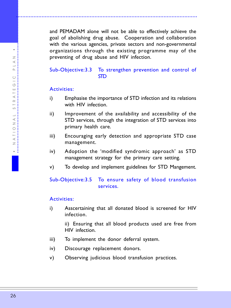and PEMADAM alone will not be able to effectively achieve the goal of abolishing drug abuse. Cooperation and collaboration with the various agencies, private sectors and non-governmental organizations through the existing programme may of the preventing of drug abuse and HIV infection.

.................................................................................................................

## Sub-Objective:3.3 To strengthen prevention and control of STD

#### Activities:

- i) Emphasise the importance of STD infection and its relations with HIV infection
- ii) Improvement of the availability and accessibility of the STD services, through the integration of STD services into primary health care.
- iii) Encouraging early detection and appropriate STD case management.
- iv) Adoption the 'modified syndromic approach' as STD management strategy for the primary care setting.
- v) To develop and implement guidelines for STD Mangement.

## Sub-Objective:3.5 To ensure safety of blood transfusion services.

## Activities:

i) Asscertaining that all donated blood is screened for HIV infection.

> ii) Ensuring that all blood products used are free from HIV infection.

- iii) To implement the donor deferral system.
- iv) Discourage replacement donors.
- v) Observing judicious blood transfusion practices.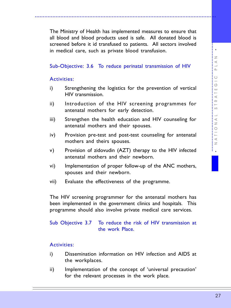The Ministry of Health has implemented measures to ensure that all blood and blood products used is safe. All donated blood is screened before it id transfused to patients. All sectors involved in medical care, such as private blood transfusion.

.................................................................................................................

#### Sub-Objective: 3.6 To reduce perinatal transmission of HIV

#### Activities:

- i) Strengthening the logistics for the prevention of vertical HIV transmission.
- ii) Introduction of the HIV screening programmes for antenatal mothers for early detection.
- iii) Strengthen the health education and HIV counseling for antenatal mothers and their spouses.
- iv) Provision pre-test and post-test counseling for antenatal mothers and theirs spouses.
- v) Provision of zidovudin (AZT) therapy to the HIV infected antenatal mothers and their newborn.
- vi) Implementation of proper follow-up of the ANC mothers, spouses and their newborn.
- vii) Evaluate the effectiveness of the programme.

The HIV screening programmer for the antenatal mothers has been implemented in the government clinics and hospitals. This programme should also involve private medical care services.

#### Sub Objective 3.7 To reduce the risk of HIV transmission at the work Place.

- i) Dissemination information on HIV infection and AIDS at the workplaces.
- ii) Implementation of the concept of 'universal precaution' for the relevant processes in the work place.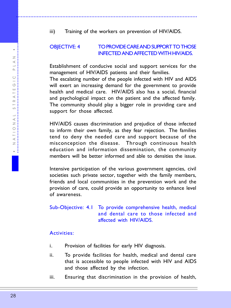## <span id="page-27-0"></span>OBJECTIVE: 4 TO PROVIDE CARE AND SUPPORT TO THOSE INFECTED AND AFFECTED WITH HIV/AIDS.

Establishment of conducive social and support services for the management of HIV/AIDS patients and their families.

The escalating number of the people infected with HIV and AIDS will exert an increasing demand for the government to provide health and medical care. HIV/AIDS also has a social, financial and psychological impact on the patient and the affected family. The community should play a bigger role in providing care and support for those affected.

HIV/AIDS causes discrimination and prejudice of those infected to inform their own family, as they fear rejection. The families tend to deny the needed care and support because of the misconception the disease. Through continuous health education and information dissemination, the community members will be better informed and able to densities the issue.

Intensive participation of the various government agencies, civil societies such private sector, together with the family members, friends and local communities in the prevention work and the provision of care, could provide an opportunity to enhance level of awareness.

Sub-Objective: 4.1 To provide comprehensive health, medical and dental care to those infected and affected with HIV/AIDS.

- i. Provision of facilities for early HIV diagnosis.
- ii. To provide facilities for health, medical and dental care that is accessible to people infected with HIV and AIDS and those affected by the infection.
- iii. Ensuring that discrimination in the provision of health,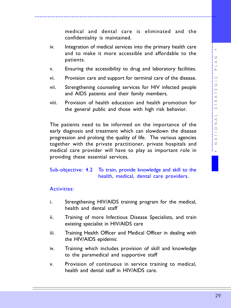medical and dental care is eliminated and the confidentiality is maintained.

.................................................................................................................

- iv. Integration of medical services into the primary health care and to make it more accessible and affordable to the patients.
- v. Ensuring the accessibility to drug and laboratory facilities.
- vi. Provision care and support for terminal care of the disease.
- vii. Strengthening counseling services for HIV infected people and AIDS patients and their family members.
- viii. Provision of health education and health promotion for the general public and those with high risk behavior.

The patients need to be informed on the importance of the early diagnosis and treatment which can slowdown the disease progression and prolong the quality of life. The various agencies together with the private practitioner, private hospitals and medical care provider will have to play as important role in providing these essential services.

#### Sub-objective: 4.2 To train, provide knowledge and skill to the health, medical, dental care providers.

- i. Strengthening HIV/AIDS training program for the medical, health and dental staff
- ii. Training of more Infectious Disease Specialists, and train existing specialist in HIV/AIDS care
- iii. Training Health Officer and Medical Officer in dealing with the HIV/AIDS epidemic
- iv. Training which includes provision of skill and knowledge to the paramedical and supportive staff
- v. Provision of continuous in service training to medical, health and dental staff in HIV/AIDS care.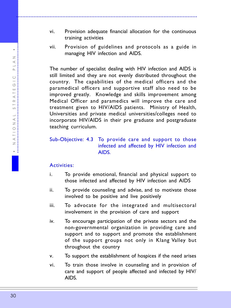.................................................................................................. •• NATIONAL STRATEGIC PLAN  $\geq$  $\prec$  $\square$  $\bigcirc$  $\circlearrowleft$ ш  $\overline{a}$  $\prec$ 

 $\simeq$ S  $\overline{\phantom{a}}$  $\prec$  $\geq$  $\begin{array}{c}\n\triangle 1 & 1\n\end{array}$  $\overline{z}$  $\cdot$  : vi. Provision adequate financial allocation for the continuous training activities

.................................................................................................................

vii. Provision of guidelines and protocols as a guide in managing HIV infection and AIDS.

The number of specialist dealing with HIV infection and AIDS is still limited and they are not evenly distributed throughout the country. The capabilities of the medical officers and the paramedical officers and supportive staff also need to be improved greatly. Knowledge and skills improvement among Medical Officer and paramedics will improve the care and treatment given to HIV/AIDS patients. Ministry of Health, Universities and private medical universities/colleges need to incorporate HIV/AIDS in their pre graduate and postgraduate teaching curriculum.

#### Sub-Objective: 4.3 To provide care and support to those infected and affected by HIV infection and AIDS.

- i. To provide emotional, financial and physical support to those infected and affected by HIV infection and AIDS
- ii. To provide counseling and advise, and to motivate those involved to be positive and live positively
- iii. To advocate for the integrated and multisectoral involvement in the provision of care and support
- iv. To encourage participation of the private sectors and the non-governmental organization in providing care and support and to support and promote the establishment of the support groups not only in Klang Valley but throughout the country
- v. To support the establishment of hospices if the need arises
- vi. To train those involve in counseling and in provision of care and support of people affected and infected by HIV/ AIDS.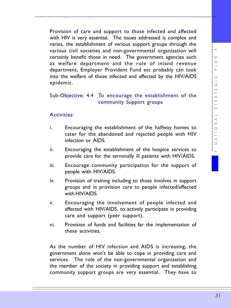Provision of care and support to those infected and affected with HIV is very essential. The issues addressed is complex and varies, the establishment of various support groups through the various civil societies and non-governmental organization will certainly benefit those in need. The government agencies such as welfare department and the role of inland revenue department, Employer Provident Fund etc probably can look into the welfare of those infected and affected by the HIV/AIDS epidemic.

.................................................................................................................

## Sub-Objective: 4.4 To encourage the establishment of the community Support groups

#### Activities:

- i. Encouraging the establishment of the halfway homes to cater for the abandoned and rejected people with HIV infection or AIDS.
- ii. Encouraging the establishment of the hospice services to provide care for the terminally ill patients with HIV/AIDS.
- iii. Encourage community participation for the support of people with HIV/AIDS.
- iv. Provision of training including to those involves in support groups and in provision care to people infected/affected with HIV/AIDS.
- v. Encouraging the involvement of people infected and affected with HIV/AIDS, to actively participate in providing care and support (peer support).
- vi. Provision of funds and facilities far the implementation of these activities.

As the number of HIV infection and AIDS is increasing, the government alone won't be able to cope in providing care and services. The role of the non-governmental organization and the member of the society in providing support and establishing community support groups are very essential. They have to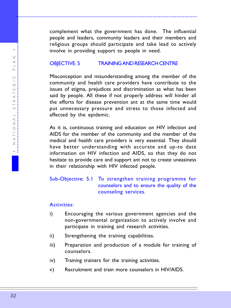complement what the government has done. The influential people and leaders, community leaders and their members and religious groups should participate and take lead to actively involve in providing support to people in need.

#### OBJECTIVE: 5 TRAINING AND RESEARCH CENTRE

<span id="page-31-0"></span>.................................................................................................................

Misconception and misunderstanding among the member of the community and health care providers have contribute to the issues of stigma, prejudices and discrimination as what has been said by people. All these if not properly address will hinder all the efforts for disease prevention ant at the same time would put unnecessary pressure and stress to those infected and affected by the epidemic.

As it is, continuous training and education on HIV infection and AIDS for the member of the community and the member of the medical and health care providers is very essential. They should have better understanding with accurate and up-to date information on HIV infection and AIDS, so that they do not hesitate to provide care and support ant not to create uneasiness in their relationship with HIV infected people.

## Sub-Objective: 5.1 To strengthen training programme for counselors and to ensure the quality of the counseling services.

- i) Encouraging the various government agencies and the non-governmental organization to actively involve and participate in training and research activities.
- ii) Strengthening the training capabilities.
- iii) Preparation and production of a module for training of counselors.
- iv) Training trainers for the training activities.
- v) Recruitment and train more counselors in HIV/AIDS.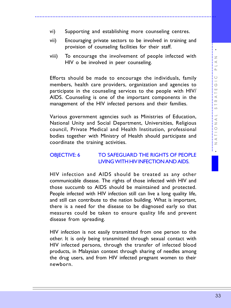- <span id="page-32-0"></span>vi) Supporting and establishing more counseling centres.
- vii) Encouraging private sectors to be involved in training and provision of counseling facilities for their staff.

viii) To encourage the involvement of people infected with HIV o be involved in peer counseling.

Efforts should be made to encourage the individuals, family members, health care providers, organization and agencies to participate in the counseling services to the people with HIV/ AIDS. Counseling is one of the important components in the management of the HIV infected persons and their families.

Various government agencies such as Ministries of Education, National Unity and Social Department, Universities, Religious council, Private Medical and Health Institution, professional bodies together with Ministry of Health should participate and coordinate the training activities.

#### OBJECTIVE: 6 TO SAFEGUARD THE RIGHTS OF PEOPLE LIVING WITH HIV INFECTION AND AIDS.

HIV infection and AIDS should be treated as any other communicable disease. The rights of those infected with HIV and those succumb to AIDS should be maintained and protected. People infected with HIV infection still can live a long quality life, and still can contribute to the nation building. What is important, there is a need for the disease to be diagnosed early so that measures could be taken to ensure quality life and prevent disease from spreading.

HIV infection is not easily transmitted from one person to the other. It is only being transmitted through sexual contact with HIV infected persons, through the transfer of infected blood products, in Malaysian context through sharing of needles among the drug users, and from HIV infected pregnant women to their newborn.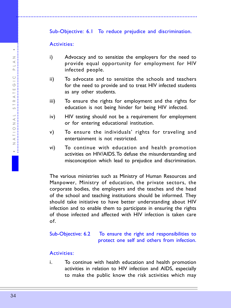## Sub-Objective: 6.1 To reduce prejudice and discrimination.

#### Activities:

- i) Advocacy and to sensitize the employers for the need to provide equal opportunity for employment for HIV infected people.
- ii) To advocate and to sensitize the schools and teachers for the need to provide and to treat HIV infected students as any other students.
- iii) To ensure the rights for employment and the rights for education is not being hinder for being HIV infected.
- iv) HIV testing should not be a requirement for employment or for entering educational institution.
- v) To ensure the individuals' rights for traveling and entertainment is not restricted.
- vi) To continue with education and health promotion activities on HIV/AIDS. To defuse the misunderstanding and misconception which lead to prejudice and discrimination.

The various ministries such as Ministry of Human Resources and Manpower, Ministry of education, the private sectors, the corporate bodies, the employers and the teaches and the head of the school and teaching institutions should be informed. They should take initiative to have better understanding about HIV infection and to enable them to participate in ensuring the rights of those infected and affected with HIV infection is taken care of.

Sub-Objective: 6.2 To ensure the right and responsibilities to protect one self and others from infection.

## Activities:

i. To continue with health education and health promotion activities in relation to HIV infection and AIDS, especially to make the public know the risk activities which may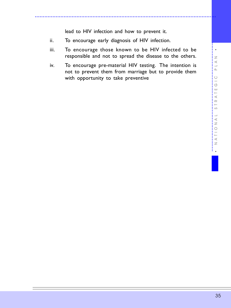lead to HIV infection and how to prevent it.

- ii. To encourage early diagnosis of HIV infection.
- iii. To encourage those known to be HIV infected to be responsible and not to spread the disease to the others.

.................................................................................................................

iv. To encourage pre-material HIV testing. The intention is not to prevent them from marriage but to provide them with opportunity to take preventive